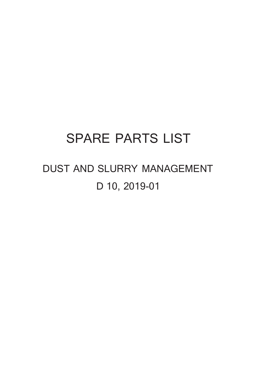## **SPARE PARTS LIST**

## **DUST AND SLURRY MANAGEMENT D 10, 2019-01**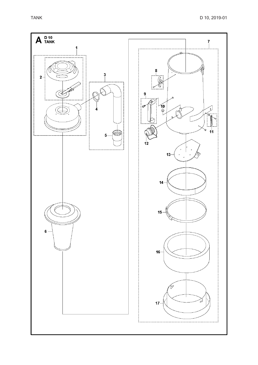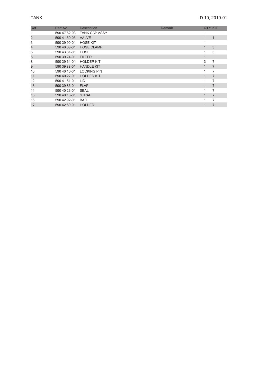| Ref                     | Part No      | <b>Description</b>   | <b>Remark</b> |                | <b>QTY KIT</b> |
|-------------------------|--------------|----------------------|---------------|----------------|----------------|
|                         | 590 47 62-03 | <b>TANK CAP ASSY</b> |               |                |                |
| $\overline{\mathbf{c}}$ | 590 41 50-03 | <b>VALVE</b>         |               |                | $\mathbf{1}$   |
| 3                       | 590 39 90-01 | <b>HOSE KIT</b>      |               |                |                |
| 4                       | 590 40 08-01 | <b>HOSE CLAMP</b>    |               | $\mathbf{1}$   | 3              |
| 5                       | 590 43 81-01 | <b>HOSE</b>          |               |                | 3              |
| 6                       | 590 39 74-01 | <b>FILTER</b>        |               | $\mathbf{1}$   |                |
| 8                       | 590 39 64-01 | <b>HOLDER KIT</b>    |               | 3              | 7              |
| 9                       | 590 39 88-01 | <b>HANDLE KIT</b>    |               | 1              | 7              |
| 10                      | 590 40 16-01 | <b>LOCKING PIN</b>   |               |                | 7              |
| 11                      | 590 40 27-01 | <b>HOLDER KIT</b>    |               | $\blacksquare$ | $\overline{7}$ |
| 12                      | 590 41 51-01 | <b>LID</b>           |               |                | 7              |
| 13                      | 590 39 86-01 | <b>FLAP</b>          |               | 1              | 7              |
| 14                      | 590 40 23-01 | <b>SEAL</b>          |               |                | 7              |
| 15                      | 590 40 18-01 | <b>STRAP</b>         |               | $\mathbf{1}$   | 7              |
| 16                      | 590 42 92-01 | <b>BAG</b>           |               |                | 7              |
| 17                      | 590 42 69-01 | <b>HOLDER</b>        |               |                | $\overline{7}$ |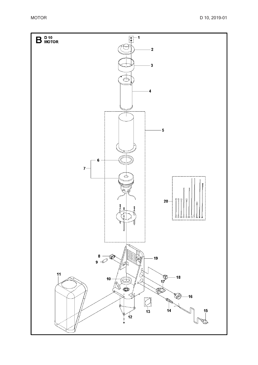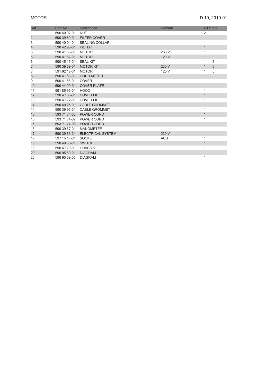| Ref            | Part No      | <b>Description</b>       | <b>Remark</b> | <b>QTY KIT</b> |   |
|----------------|--------------|--------------------------|---------------|----------------|---|
| 1              | 590 40 07-01 | <b>NUT</b>               |               | 2              |   |
| $\overline{c}$ | 590 39 89-01 | <b>FILTER COVER</b>      |               | $\mathbf{1}$   |   |
| 3              | 590 40 04-01 | <b>SEALING COLLAR</b>    |               | 1              |   |
| 4              | 590 42 98-01 | <b>FILTER</b>            |               | 1              |   |
| 5              | 590 41 55-01 | <b>MOTOR</b>             | 230 V         | 1              |   |
| 5              | 590 41 57-01 | <b>MOTOR</b>             | 120 V         | $\mathbf{1}$   |   |
| 6              | 590 45 15-01 | <b>SEAL KIT</b>          |               | 1              | 5 |
| 7              | 590 39 69-01 | <b>MOTOR KIT</b>         | 230 V         | $\mathbf{1}$   | 5 |
| 7              | 591 92 18-01 | <b>MOTOR</b>             | 120 V         | 1              | 5 |
| 8              | 590 41 53-01 | <b>HOUR METER</b>        |               | $\mathbf{1}$   |   |
| 9              | 590 41 56-01 | <b>COVER</b>             |               | 1              |   |
| 10             | 590 44 90-01 | <b>COVER PLATE</b>       |               | $\mathbf{1}$   |   |
| 11             | 591 85 96-01 | <b>HOOD</b>              |               | 1              |   |
| 12             | 590 47 68-01 | <b>COVER LID</b>         |               | 1              |   |
| 13             | 590 47 72-01 | <b>COVER LID</b>         |               | 1              |   |
| 14             | 590 40 25-01 | <b>CABLE GROMMET</b>     |               | $\mathbf{1}$   |   |
| 14             | 590 39 95-01 | <b>CABLE GROMMET</b>     |               | 1              |   |
| 15             | 593 71 74-03 | POWER CORD               |               | $\mathbf{1}$   |   |
| 15             | 593 71 74-02 | POWER CORD               |               | 1              |   |
| 15             | 593 71 74-08 | <b>POWER CORD</b>        |               | 1              |   |
| 16             | 590 39 67-01 | <b>MANOMETER</b>         |               | 1              |   |
| 17             | 590 39 63-01 | <b>ELECTRICAL SYSTEM</b> | 230 V         | $\mathbf{1}$   |   |
| 17             | 597 15 17-01 | <b>SOCKET</b>            | <b>AUS</b>    | 1              |   |
| 18             | 590 40 30-01 | <b>SWITCH</b>            |               | $\mathbf{1}$   |   |
| 19             | 590 47 70-01 | <b>CHASSIS</b>           |               | 1              |   |
| 20             | 596 95 69-01 | <b>DIAGRAM</b>           |               | $\mathbf{1}$   |   |
| 20             | 596 95 69-03 | <b>DIAGRAM</b>           |               | 1              |   |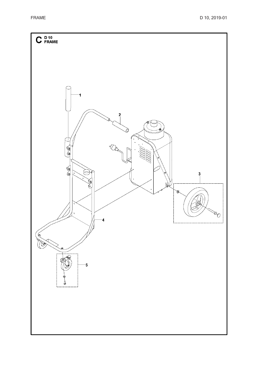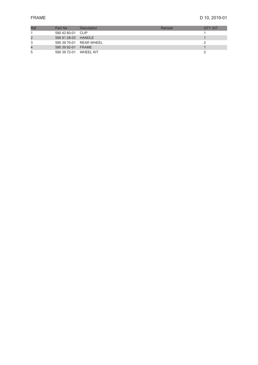| Ref | Part No                | <b>Description</b>      | Remark | <b>OTY KIT</b> |
|-----|------------------------|-------------------------|--------|----------------|
|     | 590 42 60-01 CLIP      |                         |        |                |
|     | 596 91 28-03 HANDLE    |                         |        |                |
|     |                        | 590 39 70-01 REAR WHEEL |        |                |
| 4   | 590 39 92-01 FRAME     |                         |        |                |
| 5   | 590 39 72-01 WHEEL KIT |                         |        |                |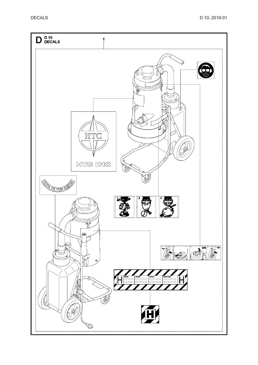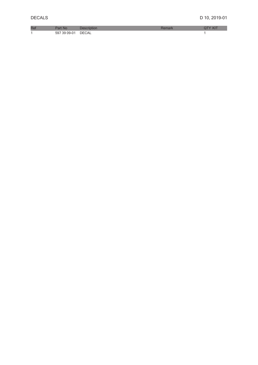| <b>D</b> | WD.       |           |  |
|----------|-----------|-----------|--|
|          | nu<br>. . | ∍ר<br>:Д∣ |  |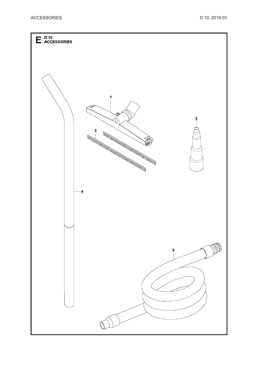